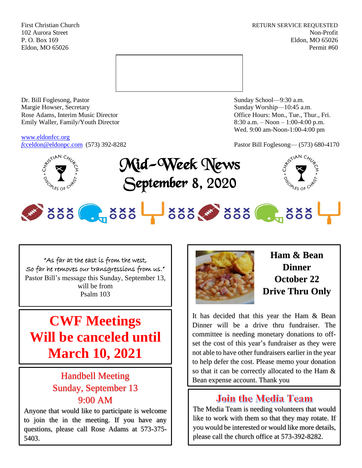First Christian Church **RETURN SERVICE REQUESTED** 102 Aurora Street Non-Profit P. O. Box 169 Eldon, MO 65026 Eldon, MO 65026 Permit #60



Dr. Bill Foglesong, Pastor Sunday School—9:30 a.m. Margie Howser, Secretary Sunday Worship—10:45 a.m. Rose Adams, Interim Music Director **Containers** Controller and Controller Controller Controller Controller and Controller Controller Controller and Controller and Controller and Controller and Controller and Controller and Emily Waller, Family/Youth Director 8:30 a.m. – Noon – 1:00-4:00 p.m.

[www.eldonfcc.org](http://www.eldonfcc.org/)

Wed. 9:00 am-Noon-1:00-4:00 pm

*f*[cceldon@eldonpc.com](mailto:fcceldon@eldonpc.com) (573) 392-8282 Pastor Bill Foglesong— (573) 680-4170







# 5888 . 388 388 388 . 388

"As far at the east is from the west, So far he removes our transgressions from us." Pastor Bill's message this Sunday, September 13, will be from Psalm 103

## **CWF Meetings Will be canceled until March 10, 2021**

## Handbell Meeting Sunday, September 13 9:00 AM

Anyone that would like to participate is welcome to join the in the meeting. If you have any questions, please call Rose Adams at 573-375- 5403.



**Ham & Bean Dinner October 22 Drive Thru Only**

It has decided that this year the Ham & Bean Dinner will be a drive thru fundraiser. The committee is needing monetary donations to offset the cost of this year's fundraiser as they were not able to have other fundraisers earlier in the year to help defer the cost. Please memo your donation so that it can be correctly allocated to the Ham & Bean expense account. Thank you

## **Join the Media Team**

The Media Team is needing volunteers that would like to work with them so that they may rotate. If you would be interested or would like more details, please call the church office at 573-392-8282.